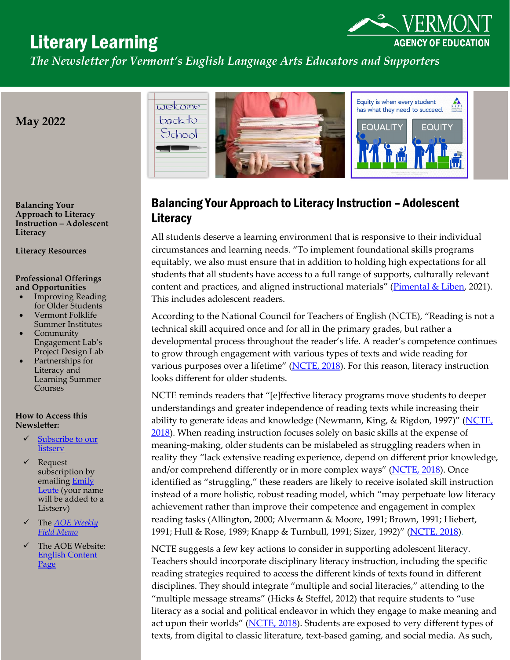# Literary Learning



**AGENCY OF EDUCATION** 

# Balancing Your Approach to Literacy Instruction – Adolescent **Literacy**

All students deserve a learning environment that is responsive to their individual circumstances and learning needs. "To implement foundational skills programs equitably, we also must ensure that in addition to holding high expectations for all students that all students have access to a full range of supports, culturally relevant content and practices, and aligned instructional materials" [\(Pimental & Liben,](https://achievethecore.org/page/3336/reading-as-liberation-an-examination-of-the-research-base) 2021). This includes adolescent readers.

According to the National Council for Teachers of English (NCTE), "Reading is not a technical skill acquired once and for all in the primary grades, but rather a developmental process throughout the reader's life. A reader's competence continues to grow through engagement with various types of texts and wide reading for various purposes over a lifetime" [\(NCTE, 2018\)](https://ncte.org/statement/adolescentliteracy/). For this reason, literacy instruction looks different for older students.

NCTE reminds readers that "[e]ffective literacy programs move students to deeper understandings and greater independence of reading texts while increasing their ability to generate ideas and knowledge (Newmann, King, & Rigdon, 1997)" (NCTE, [2018\)](https://ncte.org/statement/adolescentliteracy/). When reading instruction focuses solely on basic skills at the expense of meaning-making, older students can be mislabeled as struggling readers when in reality they "lack extensive reading experience, depend on different prior knowledge, and/or comprehend differently or in more complex ways" [\(NCTE, 2018\)](https://ncte.org/statement/adolescentliteracy/). Once identified as "struggling," these readers are likely to receive isolated skill instruction instead of a more holistic, robust reading model, which "may perpetuate low literacy achievement rather than improve their competence and engagement in complex reading tasks (Allington, 2000; Alvermann & Moore, 1991; Brown, 1991; Hiebert, 1991; Hull & Rose, 1989; Knapp & Turnbull, 1991; Sizer, 1992)" [\(NCTE, 2018\)](https://ncte.org/statement/adolescentliteracy/).

NCTE suggests a few key actions to consider in supporting adolescent literacy. Teachers should incorporate disciplinary literacy instruction, including the specific reading strategies required to access the different kinds of texts found in different disciplines. They should integrate "multiple and social literacies," attending to the "multiple message streams" (Hicks & Steffel, 2012) that require students to "use literacy as a social and political endeavor in which they engage to make meaning and act upon their worlds" [\(NCTE, 2018\)](https://ncte.org/statement/adolescentliteracy/). Students are exposed to very different types of texts, from digital to classic literature, text-based gaming, and social media. As such,

**Balancing Your Approach to Literacy Instruction – Adolescent Literacy**

**Literacy Resources**

**May 2022**

#### **Professional Offerings and Opportunities**

- Improving Reading for Older Students
- Vermont Folklife Summer Institutes
- **Community** Engagement Lab's Project Design Lab
- Partnerships for Literacy and Learning Summer Courses

#### **How to Access this Newsletter:**

- **v** Subscribe to our [listserv](http://list.education.state.vt.us/mailman/listinfo/ela)
- Request subscription by emailing **Emily** [Leute](mailto:emily.leute@vermont.gov) (your name will be added to a Listserv)
- The *[AOE Weekly](https://education.vermont.gov/blog)  [Field Memo](https://education.vermont.gov/blog)*
- The AOE Website: [English Content](https://education.vermont.gov/student-learning/content-areas/language-arts)  [Page](https://education.vermont.gov/student-learning/content-areas/language-arts)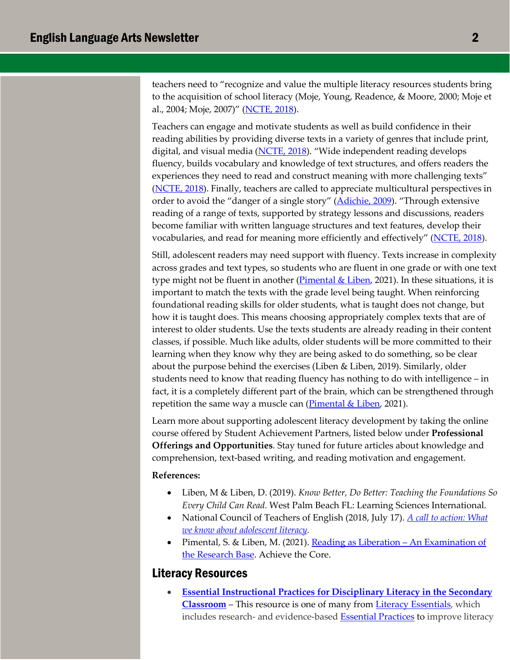teachers need to "recognize and value the multiple literacy resources students bring to the acquisition of school literacy (Moje, Young, Readence, & Moore, 2000; Moje et al., 2004; Moje, 2007)" [\(NCTE, 2018\)](https://ncte.org/statement/adolescentliteracy/).

Teachers can engage and motivate students as well as build confidence in their reading abilities by providing diverse texts in a variety of genres that include print, digital, and visual media [\(NCTE, 2018\)](https://ncte.org/statement/adolescentliteracy/). "Wide independent reading develops fluency, builds vocabulary and knowledge of text structures, and offers readers the experiences they need to read and construct meaning with more challenging texts" [\(NCTE, 2018\)](https://ncte.org/statement/adolescentliteracy/). Finally, teachers are called to appreciate multicultural perspectives in order to avoid the "danger of a single story" [\(Adichie, 2009\)](https://www.ted.com/talks/chimamanda_ngozi_adichie_the_danger_of_a_single_story?language=en#t-1100522). "Through extensive reading of a range of texts, supported by strategy lessons and discussions, readers become familiar with written language structures and text features, develop their vocabularies, and read for meaning more efficiently and effectively" [\(NCTE, 2018\)](https://ncte.org/statement/adolescentliteracy/).

Still, adolescent readers may need support with fluency. Texts increase in complexity across grades and text types, so students who are fluent in one grade or with one text type might not be fluent in another  $(Pimental & Liben, 2021)$  $(Pimental & Liben, 2021)$ . In these situations, it is important to match the texts with the grade level being taught. When reinforcing foundational reading skills for older students, what is taught does not change, but how it is taught does. This means choosing appropriately complex texts that are of interest to older students. Use the texts students are already reading in their content classes, if possible. Much like adults, older students will be more committed to their learning when they know why they are being asked to do something, so be clear about the purpose behind the exercises (Liben & Liben, 2019). Similarly, older students need to know that reading fluency has nothing to do with intelligence – in fact, it is a completely different part of the brain, which can be strengthened through repetition the same way a muscle can (Pimental  $&$  Liben, 2021).

Learn more about supporting adolescent literacy development by taking the online course offered by Student Achievement Partners, listed below under **Professional Offerings and Opportunities**. Stay tuned for future articles about knowledge and comprehension, text-based writing, and reading motivation and engagement.

#### **References:**

- Liben, M & Liben, D. (2019). *Know Better, Do Better: Teaching the Foundations So Every Child Can Read.* West Palm Beach FL: Learning Sciences International.
- National Council of Teachers of English (2018, July 17). *[A call to action: What](https://ncte.org/statement/adolescentliteracy/)  [we know about adolescent literacy.](https://ncte.org/statement/adolescentliteracy/)*
- Pimental, S. & Liben, M. (2021). [Reading as Liberation An Examination of](https://achievethecore.org/page/3336/reading-as-liberation-an-examination-of-the-research-base)  [the Research Base.](https://achievethecore.org/page/3336/reading-as-liberation-an-examination-of-the-research-base) Achieve the Core.

### Literacy Resources

• **[Essential Instructional Practices for Disciplinary Literacy in the Secondary](https://literacyessentials.org/literacy-essentials/the-essentials/essential-instructional-practices-for-disciplinary-literacy-grades-6-to-12/)  [Classroom](https://literacyessentials.org/literacy-essentials/the-essentials/essential-instructional-practices-for-disciplinary-literacy-grades-6-to-12/)** – This resource is one of many from [Literacy Essentials,](https://literacyessentials.org/) which includes research- and evidence-based **Essential Practices** to improve literacy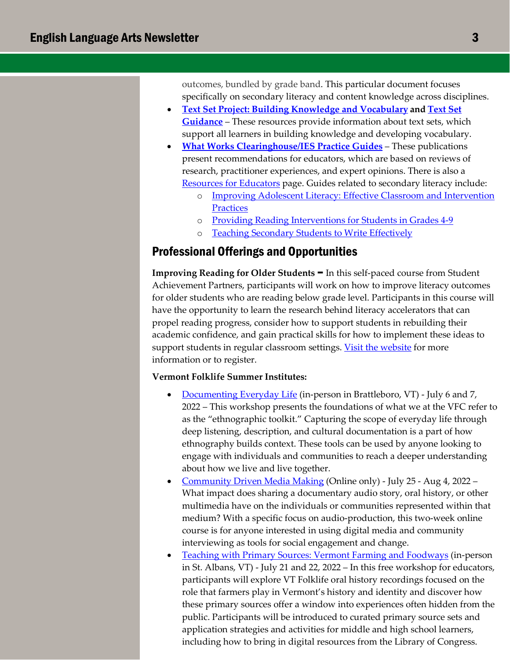outcomes, bundled by grade band. This particular document focuses specifically on secondary literacy and content knowledge across disciplines.

- **[Text Set Project: Building Knowledge and Vocabulary](https://achievethecore.org/page/2784/text-set-project-building-knowledge-and-vocabulary) and [Text Set](https://achievethecore.org/content/upload/Text%20Set%20Guidance.pdf?utm_source=Subscriber+Master+List&utm_campaign=825f01c19f-EMAIL_CAMPAIGN_2020_04_09_07_59&utm_medium=email&utm_term=0_a3f2445f50-825f01c19f-320962437)  [Guidance](https://achievethecore.org/content/upload/Text%20Set%20Guidance.pdf?utm_source=Subscriber+Master+List&utm_campaign=825f01c19f-EMAIL_CAMPAIGN_2020_04_09_07_59&utm_medium=email&utm_term=0_a3f2445f50-825f01c19f-320962437)** – These resources provide information about text sets, which support all learners in building knowledge and developing vocabulary.
- **[What Works Clearinghouse/IES Practice Guides](https://ies.ed.gov/ncee/wwc/practiceguides)** These publications present recommendations for educators, which are based on reviews of research, practitioner experiences, and expert opinions. There is also a [Resources for Educators](https://ies.ed.gov/ncee/wwc/Resources/ResourcesForEducators%7C22) page. Guides related to secondary literacy include:
	- o [Improving Adolescent Literacy: Effective Classroom and Intervention](https://ies.ed.gov/ncee/wwc/Docs/PracticeGuide/adlit_pg_082608.pdf)  **[Practices](https://ies.ed.gov/ncee/wwc/Docs/PracticeGuide/adlit_pg_082608.pdf)**
	- o [Providing Reading Interventions for Students in Grades 4-9](https://ies.ed.gov/ncee/wwc/Docs/PracticeGuide/WWC-practice-guide-reading-intervention-full-text.pdf)
	- o [Teaching Secondary Students to Write Effectively](https://ies.ed.gov/ncee/wwc/Docs/PracticeGuide/508_WWCPG_SecondaryWriting_122719.pdf)

## Professional Offerings and Opportunities

**Improving Reading for Older Students** – In this self-paced course from Student Achievement Partners, participants will work on how to improve literacy outcomes for older students who are reading below grade level. Participants in this course will have the opportunity to learn the research behind literacy accelerators that can propel reading progress, consider how to support students in rebuilding their academic confidence, and gain practical skills for how to implement these ideas to support students in regular classroom settings. [Visit the website](https://achievethecore.us9.list-manage.com/track/click?u=4ec6bb1ee5975776b3619f439&id=f323a6ed49&e=edbb160704) for more information or to register.

#### **Vermont Folklife Summer Institutes:**

- [Documenting Everyday Life](https://www.vermontfolklifecenter.org/events/si22-documenting-everyday-life) (in-person in Brattleboro, VT) July 6 and 7, 2022 – This workshop presents the foundations of what we at the VFC refer to as the "ethnographic toolkit." Capturing the scope of everyday life through deep listening, description, and cultural documentation is a part of how ethnography builds context. These tools can be used by anyone looking to engage with individuals and communities to reach a deeper understanding about how we live and live together.
- [Community Driven Media Making](https://www.vermontfolklifecenter.org/events/si22-community-driven-media-making) (Online only) July 25 Aug 4, 2022 What impact does sharing a documentary audio story, oral history, or other multimedia have on the individuals or communities represented within that medium? With a specific focus on audio-production, this two-week online course is for anyone interested in using digital media and community interviewing as tools for social engagement and change.
- [Teaching with Primary Sources: Vermont Farming and Foodways](https://www.vermontfolklifecenter.org/events/si22-teaching-with-primary-sources) (in-person in St. Albans, VT) - July 21 and 22, 2022 – In this free workshop for educators, participants will explore VT Folklife oral history recordings focused on the role that farmers play in Vermont's history and identity and discover how these primary sources offer a window into experiences often hidden from the public. Participants will be introduced to curated primary source sets and application strategies and activities for middle and high school learners, including how to bring in digital resources from the Library of Congress.